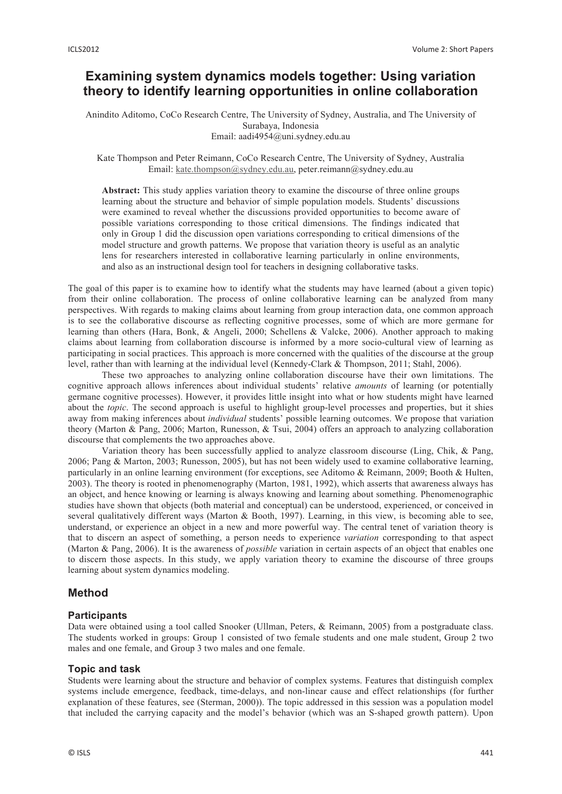# **Examining system dynamics models together: Using variation theory to identify learning opportunities in online collaboration**

Anindito Aditomo, CoCo Research Centre, The University of Sydney, Australia, and The University of Surabaya, Indonesia Email: aadi4954@uni.sydney.edu.au

#### Kate Thompson and Peter Reimann, CoCo Research Centre, The University of Sydney, Australia Email: kate.thompson@sydney.edu.au, peter.reimann@sydney.edu.au

**Abstract:** This study applies variation theory to examine the discourse of three online groups learning about the structure and behavior of simple population models. Students' discussions were examined to reveal whether the discussions provided opportunities to become aware of possible variations corresponding to those critical dimensions. The findings indicated that only in Group 1 did the discussion open variations corresponding to critical dimensions of the model structure and growth patterns. We propose that variation theory is useful as an analytic lens for researchers interested in collaborative learning particularly in online environments, and also as an instructional design tool for teachers in designing collaborative tasks.

The goal of this paper is to examine how to identify what the students may have learned (about a given topic) from their online collaboration. The process of online collaborative learning can be analyzed from many perspectives. With regards to making claims about learning from group interaction data, one common approach is to see the collaborative discourse as reflecting cognitive processes, some of which are more germane for learning than others (Hara, Bonk, & Angeli, 2000; Schellens & Valcke, 2006). Another approach to making claims about learning from collaboration discourse is informed by a more socio-cultural view of learning as participating in social practices. This approach is more concerned with the qualities of the discourse at the group level, rather than with learning at the individual level (Kennedy-Clark & Thompson, 2011; Stahl, 2006).

These two approaches to analyzing online collaboration discourse have their own limitations. The cognitive approach allows inferences about individual students' relative *amounts* of learning (or potentially germane cognitive processes). However, it provides little insight into what or how students might have learned about the *topic*. The second approach is useful to highlight group-level processes and properties, but it shies away from making inferences about *individual* students' possible learning outcomes. We propose that variation theory (Marton & Pang, 2006; Marton, Runesson, & Tsui, 2004) offers an approach to analyzing collaboration discourse that complements the two approaches above.

Variation theory has been successfully applied to analyze classroom discourse (Ling, Chik, & Pang, 2006; Pang & Marton, 2003; Runesson, 2005), but has not been widely used to examine collaborative learning, particularly in an online learning environment (for exceptions, see Aditomo & Reimann, 2009; Booth & Hulten, 2003). The theory is rooted in phenomenography (Marton, 1981, 1992), which asserts that awareness always has an object, and hence knowing or learning is always knowing and learning about something. Phenomenographic studies have shown that objects (both material and conceptual) can be understood, experienced, or conceived in several qualitatively different ways (Marton & Booth, 1997). Learning, in this view, is becoming able to see, understand, or experience an object in a new and more powerful way. The central tenet of variation theory is that to discern an aspect of something, a person needs to experience *variation* corresponding to that aspect (Marton & Pang, 2006). It is the awareness of *possible* variation in certain aspects of an object that enables one to discern those aspects. In this study, we apply variation theory to examine the discourse of three groups learning about system dynamics modeling.

# **Method**

# **Participants**

Data were obtained using a tool called Snooker (Ullman, Peters, & Reimann, 2005) from a postgraduate class. The students worked in groups: Group 1 consisted of two female students and one male student, Group 2 two males and one female, and Group 3 two males and one female.

# **Topic and task**

Students were learning about the structure and behavior of complex systems. Features that distinguish complex systems include emergence, feedback, time-delays, and non-linear cause and effect relationships (for further explanation of these features, see (Sterman, 2000)). The topic addressed in this session was a population model that included the carrying capacity and the model's behavior (which was an S-shaped growth pattern). Upon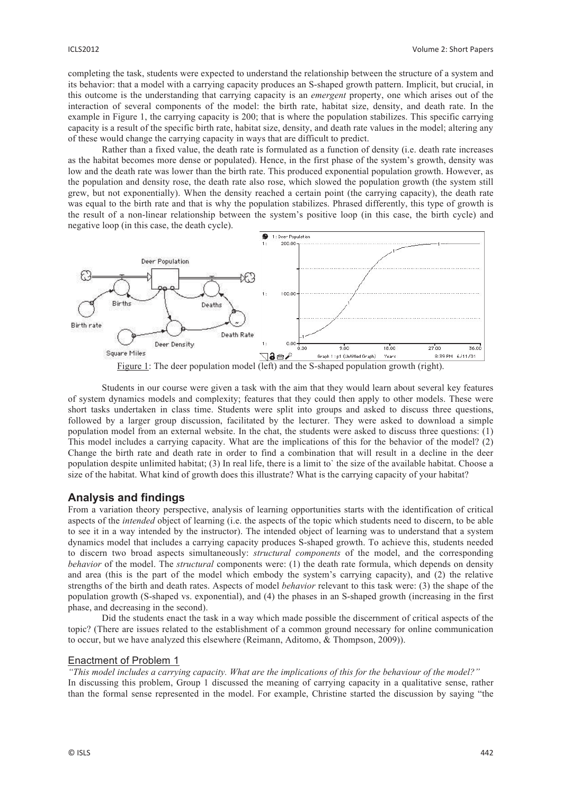completing the task, students were expected to understand the relationship between the structure of a system and its behavior: that a model with a carrying capacity produces an S-shaped growth pattern. Implicit, but crucial, in this outcome is the understanding that carrying capacity is an *emergent* property, one which arises out of the interaction of several components of the model: the birth rate, habitat size, density, and death rate. In the example in Figure 1, the carrying capacity is 200; that is where the population stabilizes. This specific carrying capacity is a result of the specific birth rate, habitat size, density, and death rate values in the model; altering any of these would change the carrying capacity in ways that are difficult to predict.

Rather than a fixed value, the death rate is formulated as a function of density (i.e. death rate increases as the habitat becomes more dense or populated). Hence, in the first phase of the system's growth, density was low and the death rate was lower than the birth rate. This produced exponential population growth. However, as the population and density rose, the death rate also rose, which slowed the population growth (the system still grew, but not exponentially). When the density reached a certain point (the carrying capacity), the death rate was equal to the birth rate and that is why the population stabilizes. Phrased differently, this type of growth is the result of a non-linear relationship between the system's positive loop (in this case, the birth cycle) and negative loop (in this case, the death cycle).



Students in our course were given a task with the aim that they would learn about several key features of system dynamics models and complexity; features that they could then apply to other models. These were short tasks undertaken in class time. Students were split into groups and asked to discuss three questions, followed by a larger group discussion, facilitated by the lecturer. They were asked to download a simple population model from an external website. In the chat, the students were asked to discuss three questions: (1) This model includes a carrying capacity. What are the implications of this for the behavior of the model? (2) Change the birth rate and death rate in order to find a combination that will result in a decline in the deer population despite unlimited habitat; (3) In real life, there is a limit to` the size of the available habitat. Choose a size of the habitat. What kind of growth does this illustrate? What is the carrying capacity of your habitat?

# **Analysis and findings**

From a variation theory perspective, analysis of learning opportunities starts with the identification of critical aspects of the *intended* object of learning (i.e. the aspects of the topic which students need to discern, to be able to see it in a way intended by the instructor). The intended object of learning was to understand that a system dynamics model that includes a carrying capacity produces S-shaped growth. To achieve this, students needed to discern two broad aspects simultaneously: *structural components* of the model, and the corresponding *behavior* of the model. The *structural* components were: (1) the death rate formula, which depends on density and area (this is the part of the model which embody the system's carrying capacity), and (2) the relative strengths of the birth and death rates. Aspects of model *behavior* relevant to this task were: (3) the shape of the population growth (S-shaped vs. exponential), and (4) the phases in an S-shaped growth (increasing in the first phase, and decreasing in the second).

Did the students enact the task in a way which made possible the discernment of critical aspects of the topic? (There are issues related to the establishment of a common ground necessary for online communication to occur, but we have analyzed this elsewhere (Reimann, Aditomo, & Thompson, 2009)).

#### Enactment of Problem 1

*"This model includes a carrying capacity. What are the implications of this for the behaviour of the model?"*  In discussing this problem, Group 1 discussed the meaning of carrying capacity in a qualitative sense, rather than the formal sense represented in the model. For example, Christine started the discussion by saying "the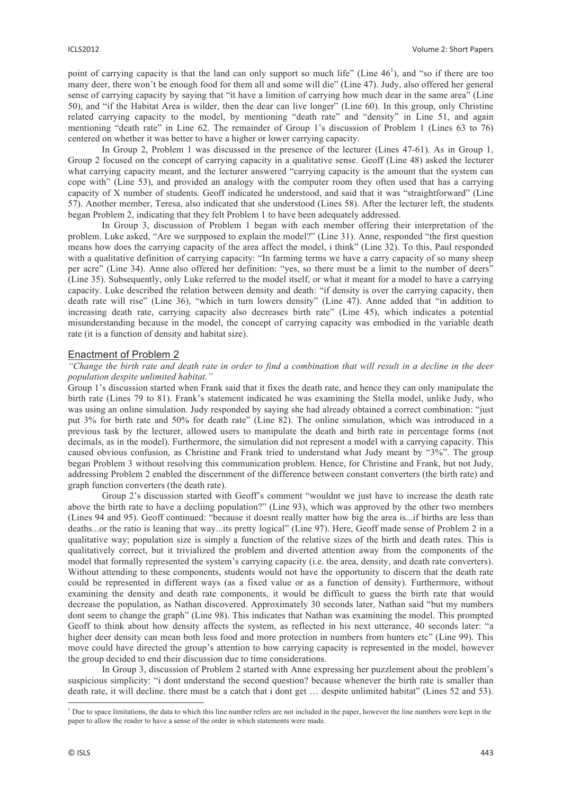point of carrying capacity is that the land can only support so much life" (Line  $46<sup>1</sup>$ ), and "so if there are too many deer, there won't be enough food for them all and some will die" (Line 47). Judy, also offered her general sense of carrying capacity by saying that "it have a limition of carrying how much dear in the same area" (Line 50), and "if the Habitat Area is wilder, then the dear can live longer" (Line 60). In this group, only Christine related carrying capacity to the model, by mentioning "death rate" and "density" in Line 51, and again mentioning "death rate" in Line 62. The remainder of Group 1's discussion of Problem 1 (Lines 63 to 76) centered on whether it was better to have a higher or lower carrying capacity.

In Group 2, Problem 1 was discussed in the presence of the lecturer (Lines 47-61). As in Group 1, Group 2 focused on the concept of carrying capacity in a qualitative sense. Geoff (Line 48) asked the lecturer what carrying capacity meant, and the lecturer answered "carrying capacity is the amount that the system can cope with" (Line 53), and provided an analogy with the computer room they often used that has a carrying capacity of X number of students. Geoff indicated he understood, and said that it was "straightforward" (Line 57). Another member, Teresa, also indicated that she understood (Lines 58). After the lecturer left, the students began Problem 2, indicating that they felt Problem 1 to have been adequately addressed.

In Group 3, discussion of Problem 1 began with each member offering their interpretation of the problem. Luke asked, "Are we surpposed to explain the model?" (Line 31). Anne, responded "the first question means how does the carrying capacity of the area affect the model, i think" (Line 32). To this, Paul responded with a qualitative definition of carrying capacity: "In farming terms we have a carry capacity of so many sheep per acre" (Line 34). Anne also offered her definition: "yes, so there must be a limit to the number of deers" (Line 35). Subsequently, only Luke referred to the model itself, or what it meant for a model to have a carrying capacity. Luke described the relation between density and death: "if density is over the carrying capacity, then death rate will rise" (Line 36), "which in turn lowers density" (Line 47). Anne added that "in addition to increasing death rate, carrying capacity also decreases birth rate" (Line 45), which indicates a potential misunderstanding because in the model, the concept of carrying capacity was embodied in the variable death rate (it is a function of density and habitat size).

## Enactment of Problem 2

#### *"Change the birth rate and death rate in order to find a combination that will result in a decline in the deer population despite unlimited habitat."*

Group 1's discussion started when Frank said that it fixes the death rate, and hence they can only manipulate the birth rate (Lines 79 to 81). Frank's statement indicated he was examining the Stella model, unlike Judy, who was using an online simulation. Judy responded by saying she had already obtained a correct combination: "just put 3% for birth rate and 50% for death rate" (Line 82). The online simulation, which was introduced in a previous task by the lecturer, allowed users to manipulate the death and birth rate in percentage forms (not decimals, as in the model). Furthermore, the simulation did not represent a model with a carrying capacity. This caused obvious confusion, as Christine and Frank tried to understand what Judy meant by "3%". The group began Problem 3 without resolving this communication problem. Hence, for Christine and Frank, but not Judy, addressing Problem 2 enabled the discernment of the difference between constant converters (the birth rate) and graph function converters (the death rate).

Group 2's discussion started with Geoff's comment "wouldnt we just have to increase the death rate above the birth rate to have a decliing population?" (Line 93), which was approved by the other two members (Lines 94 and 95). Geoff continued: "because it doesnt really matter how big the area is...if births are less than deaths...or the ratio is leaning that way...its pretty logical" (Line 97). Here, Geoff made sense of Problem 2 in a qualitative way; population size is simply a function of the relative sizes of the birth and death rates. This is qualitatively correct, but it trivialized the problem and diverted attention away from the components of the model that formally represented the system's carrying capacity (i.e. the area, density, and death rate converters). Without attending to these components, students would not have the opportunity to discern that the death rate could be represented in different ways (as a fixed value or as a function of density). Furthermore, without examining the density and death rate components, it would be difficult to guess the birth rate that would decrease the population, as Nathan discovered. Approximately 30 seconds later, Nathan said "but my numbers dont seem to change the graph" (Line 98). This indicates that Nathan was examining the model. This prompted Geoff to think about how density affects the system, as reflected in his next utterance, 40 seconds later: "a higher deer density can mean both less food and more protection in numbers from hunters etc" (Line 99). This move could have directed the group's attention to how carrying capacity is represented in the model, however the group decided to end their discussion due to time considerations.

In Group 3, discussion of Problem 2 started with Anne expressing her puzzlement about the problem's suspicious simplicity: "i dont understand the second question? because whenever the birth rate is smaller than death rate, it will decline. there must be a catch that i dont get … despite unlimited habitat" (Lines 52 and 53).

The to space limitations, the data to which this line number refers are not included in the paper, however the line numbers were kept in the paper to allow the reader to have a sense of the order in which statements were made.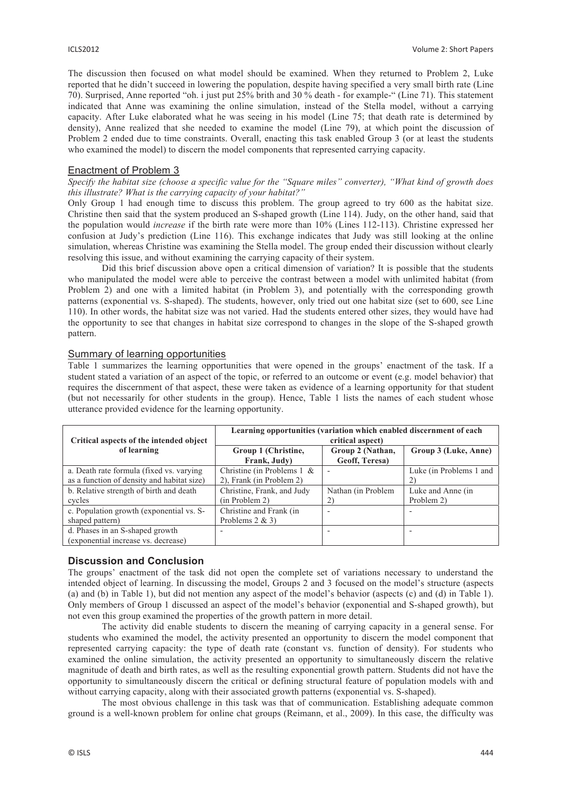The discussion then focused on what model should be examined. When they returned to Problem 2, Luke reported that he didn't succeed in lowering the population, despite having specified a very small birth rate (Line 70). Surprised, Anne reported "oh. i just put 25% brith and 30 % death - for example-" (Line 71). This statement indicated that Anne was examining the online simulation, instead of the Stella model, without a carrying capacity. After Luke elaborated what he was seeing in his model (Line 75; that death rate is determined by density), Anne realized that she needed to examine the model (Line 79), at which point the discussion of Problem 2 ended due to time constraints. Overall, enacting this task enabled Group 3 (or at least the students who examined the model) to discern the model components that represented carrying capacity.

#### Enactment of Problem 3

*Specify the habitat size (choose a specific value for the "Square miles" converter), "What kind of growth does this illustrate? What is the carrying capacity of your habitat?"* 

Only Group 1 had enough time to discuss this problem. The group agreed to try 600 as the habitat size. Christine then said that the system produced an S-shaped growth (Line 114). Judy, on the other hand, said that the population would *increase* if the birth rate were more than 10% (Lines 112-113). Christine expressed her confusion at Judy's prediction (Line 116). This exchange indicates that Judy was still looking at the online simulation, whereas Christine was examining the Stella model. The group ended their discussion without clearly resolving this issue, and without examining the carrying capacity of their system.

Did this brief discussion above open a critical dimension of variation? It is possible that the students who manipulated the model were able to perceive the contrast between a model with unlimited habitat (from Problem 2) and one with a limited habitat (in Problem 3), and potentially with the corresponding growth patterns (exponential vs. S-shaped). The students, however, only tried out one habitat size (set to 600, see Line 110). In other words, the habitat size was not varied. Had the students entered other sizes, they would have had the opportunity to see that changes in habitat size correspond to changes in the slope of the S-shaped growth pattern.

## Summary of learning opportunities

Table 1 summarizes the learning opportunities that were opened in the groups' enactment of the task. If a student stated a variation of an aspect of the topic, or referred to an outcome or event (e.g. model behavior) that requires the discernment of that aspect, these were taken as evidence of a learning opportunity for that student (but not necessarily for other students in the group). Hence, Table 1 lists the names of each student whose utterance provided evidence for the learning opportunity.

| Critical aspects of the intended object                                                 | Learning opportunities (variation which enabled discernment of each<br>critical aspect) |                                    |                                 |
|-----------------------------------------------------------------------------------------|-----------------------------------------------------------------------------------------|------------------------------------|---------------------------------|
| of learning                                                                             | Group 1 (Christine,<br>Frank, Judy)                                                     | Group 2 (Nathan,<br>Geoff, Teresa) | Group 3 (Luke, Anne)            |
| a. Death rate formula (fixed vs. varying)<br>as a function of density and habitat size) | Christine (in Problems $1 \&$<br>2), Frank (in Problem 2)                               |                                    | Luke (in Problems 1 and<br>2)   |
| b. Relative strength of birth and death<br>cycles                                       | Christine, Frank, and Judy<br>(in Problem 2)                                            | Nathan (in Problem<br>2)           | Luke and Anne (in<br>Problem 2) |
| c. Population growth (exponential vs. S-<br>shaped pattern)                             | Christine and Frank (in<br>Problems $2 & 3$                                             |                                    |                                 |
| d. Phases in an S-shaped growth<br>(exponential increase vs. decrease)                  |                                                                                         |                                    |                                 |

#### **Discussion and Conclusion**

The groups' enactment of the task did not open the complete set of variations necessary to understand the intended object of learning. In discussing the model, Groups 2 and 3 focused on the model's structure (aspects (a) and (b) in Table 1), but did not mention any aspect of the model's behavior (aspects (c) and (d) in Table 1). Only members of Group 1 discussed an aspect of the model's behavior (exponential and S-shaped growth), but not even this group examined the properties of the growth pattern in more detail.

The activity did enable students to discern the meaning of carrying capacity in a general sense. For students who examined the model, the activity presented an opportunity to discern the model component that represented carrying capacity: the type of death rate (constant vs. function of density). For students who examined the online simulation, the activity presented an opportunity to simultaneously discern the relative magnitude of death and birth rates, as well as the resulting exponential growth pattern. Students did not have the opportunity to simultaneously discern the critical or defining structural feature of population models with and without carrying capacity, along with their associated growth patterns (exponential vs. S-shaped).

The most obvious challenge in this task was that of communication. Establishing adequate common ground is a well-known problem for online chat groups (Reimann, et al., 2009). In this case, the difficulty was